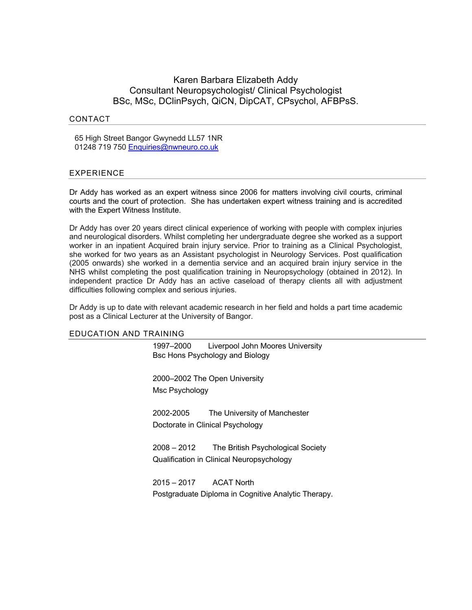# Karen Barbara Elizabeth Addy Consultant Neuropsychologist/ Clinical Psychologist BSc, MSc, DClinPsych, QiCN, DipCAT, CPsychol, AFBPsS.

# CONTACT

65 High Street Bangor Gwynedd LL57 1NR 01248 719 750 Enquiries@nwneuro.co.uk

# EXPERIENCE

Dr Addy has worked as an expert witness since 2006 for matters involving civil courts, criminal courts and the court of protection. She has undertaken expert witness training and is accredited with the Expert Witness Institute.

Dr Addy has over 20 years direct clinical experience of working with people with complex injuries and neurological disorders. Whilst completing her undergraduate degree she worked as a support worker in an inpatient Acquired brain injury service. Prior to training as a Clinical Psychologist, she worked for two years as an Assistant psychologist in Neurology Services. Post qualification (2005 onwards) she worked in a dementia service and an acquired brain injury service in the NHS whilst completing the post qualification training in Neuropsychology (obtained in 2012). In independent practice Dr Addy has an active caseload of therapy clients all with adjustment difficulties following complex and serious injuries.

Dr Addy is up to date with relevant academic research in her field and holds a part time academic post as a Clinical Lecturer at the University of Bangor.

### EDUCATION AND TRAINING

1997–2000 Liverpool John Moores University Bsc Hons Psychology and Biology

2000–2002 The Open University Msc Psychology

2002-2005 The University of Manchester Doctorate in Clinical Psychology

2008 – 2012 The British Psychological Society Qualification in Clinical Neuropsychology

2015 – 2017 ACAT North Postgraduate Diploma in Cognitive Analytic Therapy.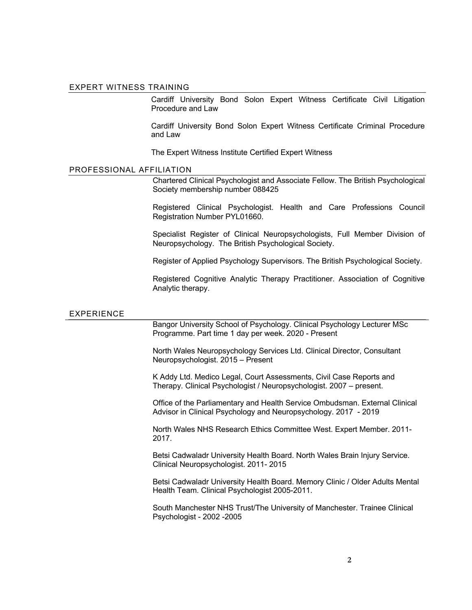#### EXPERT WITNESS TRAINING

Cardiff University Bond Solon Expert Witness Certificate Civil Litigation Procedure and Law

Cardiff University Bond Solon Expert Witness Certificate Criminal Procedure and Law

The Expert Witness Institute Certified Expert Witness

# PROFESSIONAL AFFILIATION

Chartered Clinical Psychologist and Associate Fellow. The British Psychological Society membership number 088425

Registered Clinical Psychologist. Health and Care Professions Council Registration Number PYL01660.

Specialist Register of Clinical Neuropsychologists, Full Member Division of Neuropsychology. The British Psychological Society.

Register of Applied Psychology Supervisors. The British Psychological Society.

Registered Cognitive Analytic Therapy Practitioner. Association of Cognitive Analytic therapy.

### EXPERIENCE

Bangor University School of Psychology. Clinical Psychology Lecturer MSc Programme. Part time 1 day per week. 2020 - Present

North Wales Neuropsychology Services Ltd. Clinical Director, Consultant Neuropsychologist. 2015 – Present

K Addy Ltd. Medico Legal, Court Assessments, Civil Case Reports and Therapy. Clinical Psychologist / Neuropsychologist. 2007 – present.

Office of the Parliamentary and Health Service Ombudsman. External Clinical Advisor in Clinical Psychology and Neuropsychology. 2017 - 2019

North Wales NHS Research Ethics Committee West. Expert Member. 2011- 2017.

Betsi Cadwaladr University Health Board. North Wales Brain Injury Service. Clinical Neuropsychologist. 2011- 2015

Betsi Cadwaladr University Health Board. Memory Clinic / Older Adults Mental Health Team. Clinical Psychologist 2005-2011.

South Manchester NHS Trust/The University of Manchester. Trainee Clinical Psychologist - 2002 -2005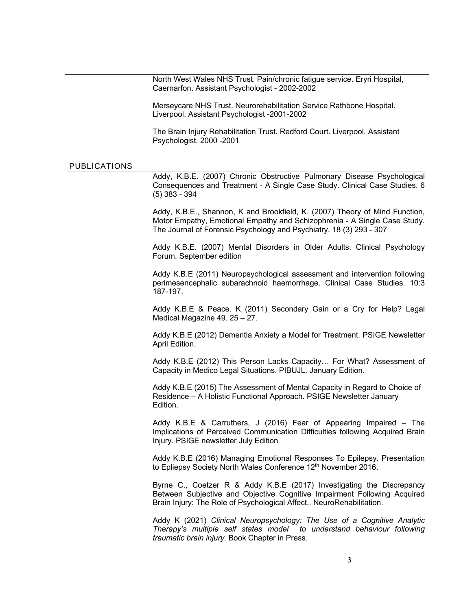North West Wales NHS Trust. Pain/chronic fatigue service. Eryri Hospital, Caernarfon. Assistant Psychologist - 2002-2002

Merseycare NHS Trust. Neurorehabilitation Service Rathbone Hospital. Liverpool. Assistant Psychologist -2001-2002

The Brain Injury Rehabilitation Trust. Redford Court. Liverpool. Assistant Psychologist. 2000 -2001

# PUBLICATIONS

Addy, K.B.E. (2007) Chronic Obstructive Pulmonary Disease Psychological Consequences and Treatment - A Single Case Study. Clinical Case Studies. 6 (5) 383 - 394

Addy, K.B.E., Shannon, K and Brookfield, K. (2007) Theory of Mind Function, Motor Empathy, Emotional Empathy and Schizophrenia - A Single Case Study. The Journal of Forensic Psychology and Psychiatry. 18 (3) 293 - 307

Addy K.B.E. (2007) Mental Disorders in Older Adults. Clinical Psychology Forum. September edition

Addy K.B.E (2011) Neuropsychological assessment and intervention following perimesencephalic subarachnoid haemorrhage. Clinical Case Studies. 10:3 187-197.

Addy K.B.E & Peace. K (2011) Secondary Gain or a Cry for Help? Legal Medical Magazine 49. 25 – 27.

Addy K.B.E (2012) Dementia Anxiety a Model for Treatment. PSIGE Newsletter April Edition.

Addy K.B.E (2012) This Person Lacks Capacity… For What? Assessment of Capacity in Medico Legal Situations. PIBUJL. January Edition.

Addy K.B.E (2015) The Assessment of Mental Capacity in Regard to Choice of Residence – A Holistic Functional Approach. PSIGE Newsletter January Edition.

Addy K.B.E & Carruthers, J (2016) Fear of Appearing Impaired – The Implications of Perceived Communication Difficulties following Acquired Brain Injury. PSIGE newsletter July Edition

Addy K.B.E (2016) Managing Emotional Responses To Epilepsy. Presentation to Epliepsy Society North Wales Conference 12<sup>th</sup> November 2016.

Byrne C., Coetzer R & Addy K.B.E (2017) Investigating the Discrepancy Between Subjective and Objective Cognitive Impairment Following Acquired Brain Injury: The Role of Psychological Affect.. NeuroRehabilitation.

Addy K (2021) *Clinical Neuropsychology: The Use of a Cognitive Analytic Therapy's multiple self states model to understand behaviour following traumatic brain injury.* Book Chapter in Press.